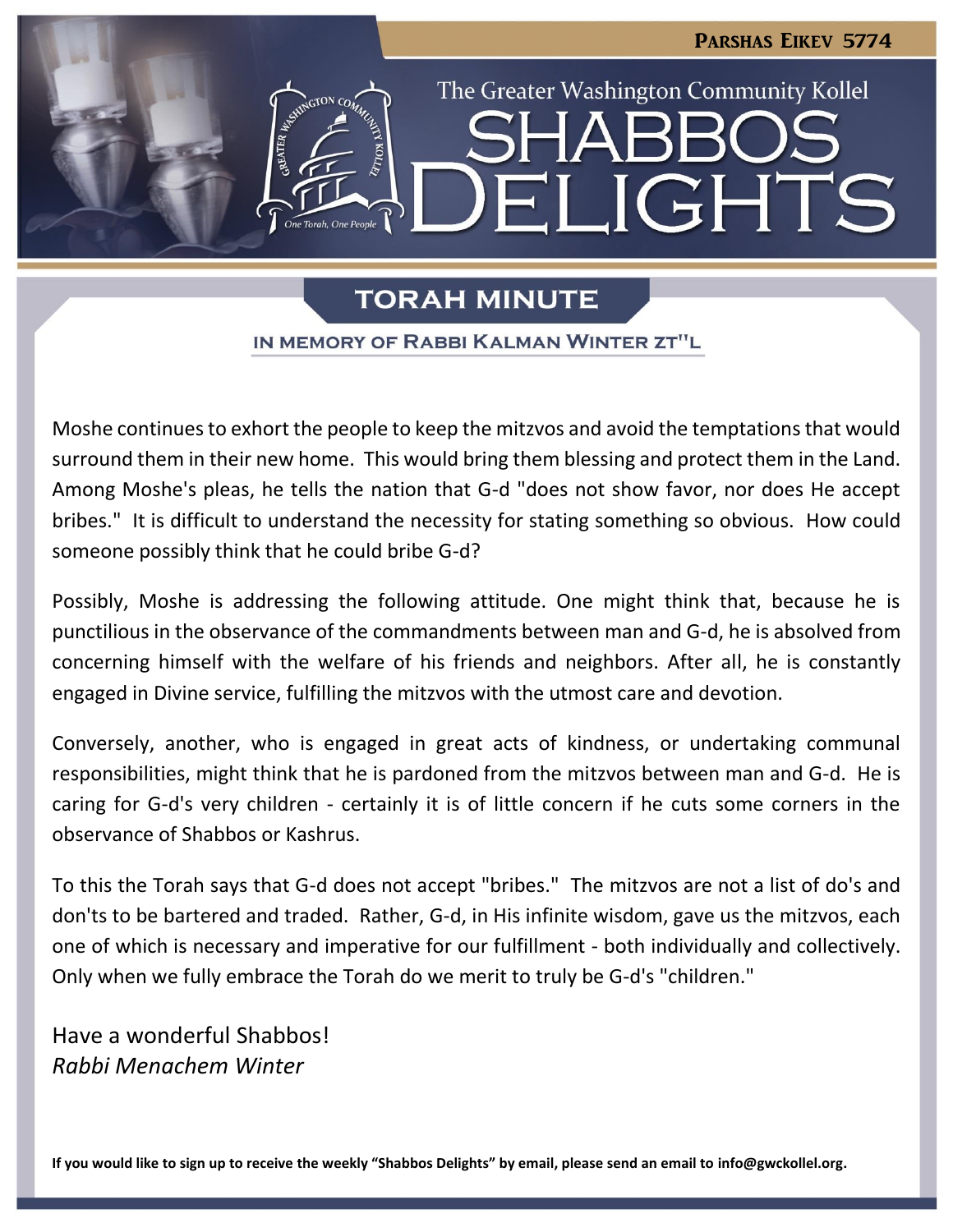

LIGHTS

The Greater Washington Community Kollel

# **TORAH MINUTE**

⊣∐

#### IN MEMORY OF RABBI KALMAN WINTER ZT"L

Moshe continues to exhort the people to keep the mitzvos and avoid the temptations that would surround them in their new home. This would bring them blessing and protect them in the Land. Among Moshe's pleas, he tells the nation that G-d "does not show favor, nor does He accept bribes." It is difficult to understand the necessity for stating something so obvious. How could someone possibly think that he could bribe G-d?

Possibly, Moshe is addressing the following attitude. One might think that, because he is punctilious in the observance of the commandments between man and G-d, he is absolved from concerning himself with the welfare of his friends and neighbors. After all, he is constantly engaged in Divine service, fulfilling the mitzvos with the utmost care and devotion.

Conversely, another, who is engaged in great acts of kindness, or undertaking communal responsibilities, might think that he is pardoned from the mitzvos between man and G-d. He is caring for G-d's very children - certainly it is of little concern if he cuts some corners in the observance of Shabbos or Kashrus.

To this the Torah says that G-d does not accept "bribes." The mitzvos are not a list of do's and don'ts to be bartered and traded. Rather, G-d, in His infinite wisdom, gave us the mitzvos, each one of which is necessary and imperative for our fulfillment - both individually and collectively. Only when we fully embrace the Torah do we merit to truly be G-d's "children."

Have a wonderful Shabbos! *Rabbi Menachem Winter*

**If you would like to sign up to receive the weekly "Shabbos Delights" by email, please send an email to [info@gwckollel.org.](mailto:info@gwckollel.org)**